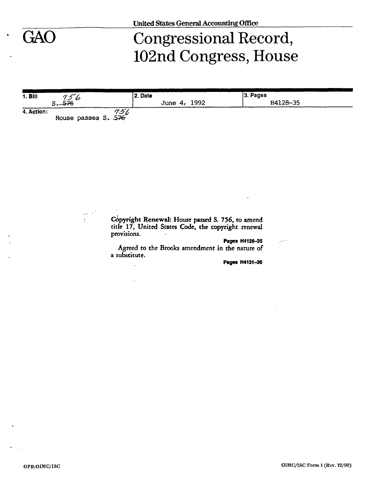# GAO Congressional Record, 102nd Congress, House

| $1.$ Bill  |                                       | l 2. Date    | $ 3.$ Pages |
|------------|---------------------------------------|--------------|-------------|
|            | 3.576                                 | June 4, 1992 | H4128-35    |
| 4. Action: | $\frac{75}{6}$<br>House passes S. 576 |              |             |

Copyright Renewal: House passed S. 756, to amend title 17, United States Code, the copyright renewal provisions.

**Pages H4128-35** 

Agreed to the Brooks amendment in the nature of a substitute.

**Paget** H4131-33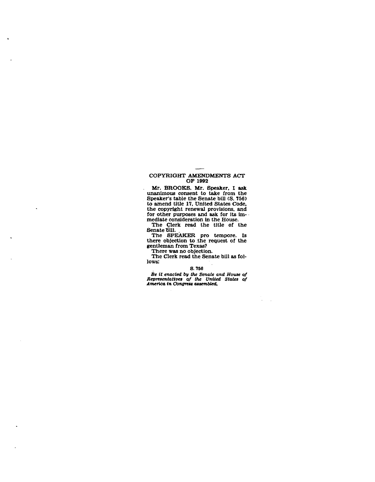## **COPYRIGHT AMENDMENTS ACT OF 1992**

**Mr. BROOKS. Mr. Speaker, I ask unanimous consent to take from the Speaker's table the Senate bill (S. 756) to amend title 17, United States Code, the copyright renewal provisions, and for other purposes and ask for its immediate consideration in the House.** 

**The Clerk read the title of the Senate 6111.** 

**The SPEAKER pro tempore. Is there objection to the request of the gentleman from Texas?** 

**There was no objection.** 

 $\lambda$ 

**The Clerk read the Senate bill as follows:** 

**a 756** 

*Be it enacted by the Senate and House of Representatives of the United States of America in Congress assembled.* 

 $\mathcal{A}$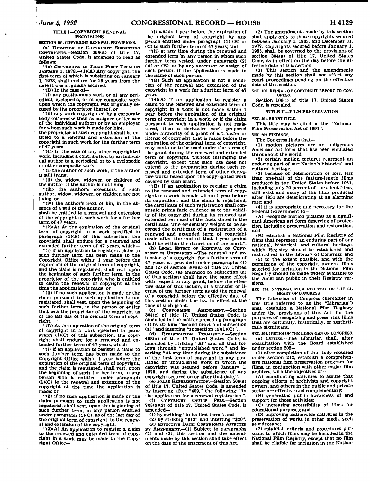### **TITLE I—COPYRIGHT RENEWAL PROVISIONS**

**GECTION 101. COPYRIGHT RENEWAL PROVISIONS. (a) DURATION OP COPYRIGHT. SUBSISTING COPYRIGHTS—Section 304(a) of title 17, United States Code, Is amended to read as follows:** 

**"(a) COPYRIGHTS IN THEIR FIRST TERM ON JANUARY 1. 1978.—(1)(A) Any copyright, the first term of which is subsisting on January 1. 1978, shall endure for 28 years from the**  date it was originally secured.

**"(B) In the case of—** 

**"(1) any posthumous work or of any periodical, cyclopedic, or other composite work upon which the copyright was originally secured by the proprietor thereof, or** 

**"(11) any work copyrighted by a corporate body (otherwise than as assignee or licensee of the individual author) or by an employer for whom such work is made for hire,** 

**the proprietor of such copyright shall be entitled to a renewal and extension of the copyright In such work for the further term of 47 years.** 

**"(C) In the case of any other copyrighted work, including a contribution by an individual author to a periodical or to a cyclopedic or other composite work—** 

**"(1) the author of such work, if the author is still living,** 

**"(li) the widow, widower, or children of the author, if the author is not living,** 

**"(ill) the author's executors, if such author, widow, widower, or children are not living, or** 

**"(iv) the author's next of kin, in the absence of a will of the author,** 

**shall be entitled to a renewal and extension of the copyright In such work for a further term of 47 years.** 

**"(2XA) At the expiration of the original term of copyright in a work specified in paragraph (1MB) of this subsection, the copyright shall endure for a renewed and extended further term of 47 years, which—** 

**"(i) if an application to register a claim to such further term has been made to the Copyright Office within 1 year before the expiration of the original term of copyright, and the claim Is registered, shall vest, upon the beginning of such further term, in the proprietor of the copyright who Is entitled to claim the renewal of copyright at the time the application is made; or** 

**"(ii) if no such application is made or the claim pursuant to such application is not registered, shall vest, upon the beginning of such further term. In the person or entity that was the proprietor of the copyright as of the last day of the original term of copyright.** 

**"(B) At the expiration of the original term of copyright In a work specified in paragraph (1KC) of this subsection, the copyright shall endure for a renewed and extended further term of 47 years, which—** 

**"(i) if an application to register a claim to such further term has been made to the Copyright Office within 1 year before the expiration of the original term of copyright, and the claim is registered, shall vest, upon the beginning of such further term, in any person who is entitled under paragraph (IXC) to the renewal and extension of the copyright at the time the application is made: or** 

**"(U) If no such application is made or the claim pursuant to such application Is not registered, shall vest, upon the beginning of**  such further term, in any person entitled under paragraph (1)(C), as of the last day of **the original term of copyright, to the renewal and extension of the copyright.** 

**"(3XA) An application to register a claim to the renewed and extended term of copyright in a work may be made to the Copyright Office-**

**"(1) within 1 year before the expiration of the original term of copyright by any person entitled under paragraph (1) (B) or (C) to such further term of 47 years; and** 

**"(11) at any time during the renewed and extended term by any person in whom such further term vested, under paragraph (2) (A) or (B), or by any successor or assign of such person, if the application is made in the name of such person.** 

**"(B) Such an application Is not a condition of the renewal and extension of the copyright in a work for a further term of 47 years.** 

**"(4)(A) If an application to register a claim to the renewed and extended term of copyright In a work is not made within 1 year before the expiration of the original term of copyright in a work, or if the claim pursuant to such application is not registered, then a derivative work prepared under authority of a grant of a transfer or license of copyright that is made before the expiration of the original term of copyright, may continue to be used under the terms of the grant during the renewed and extended term of copyright without infringing the copyright, except that such use does not extend to the preparation during such renewed and extended term of other derivative works based upon the copyrighted work covered by such grant** 

**"(B) If an application to register a claim to the renewed and extended term of copyright in a work is made within 1 year before its expiration, and the claim is registered, the certificate of such registration shall constitute prima facie evidence as to the validity of the copyright during its renewed and extended term and of the facts stated in the certificate. The evidentiary weight to be accorded the certificate of a registration of a renewed and extended term of copyright made after the end of that 1-year period shall be within the discretion of the court.".** 

**(b) LEGAL EFFECT OP RENEWAL OF COPY-RIGHT IS UNCHANGED.—The renewal and extension of a copyright for a further term of 47 years as provided under paragraphs (1) and (2) of section 304(a) of title 17, United States Code, (as amended by subsection (a) of this section) shall have the same effect with respect to any grant, before the effective date of this section, of a transfer or license of the further term as did the renewal of a copyright before the effective date of this section under the law in effect at the time of such grant.** 

**(c) CONFORMING AMENDMENT.—Section 304(c) of title 17. United States Code, is amended in the matter preceding paragraph (1) by striking "second proviso of subsection**  (a)" and inserting "subsection (a)(1)(C)"

**(d) REGISTRATION PERMISSIVE.—Section 408(a) of title 17, United States Code, is amended by striking "At" and all that fol**lows through "unpublished work," and in**serting "At any time during the subsistence**  of the first term of copyright in any pub**lished or unpublished work in which the copyright was secured before January 1, 1978, and during the subsistence of any**  copyright secured on or after that date."

**(e) FALSE REPRESENTATION.—Section 506(e) of title 17, United States Code, is amended by inserting after "409," the following: "In the application for a renewal registration,".** 

**(f) COPYRIGHT OFPICE FEES.—Section 708(a)(2) of title 17, United States Code, is amended—** 

**(1) by striking "In its first term"; and** 

**(2) by striking "\*12" and Inserting "\$20". (g) EFFECTIVE DATE; COPYRIGHTS AFFECTED** 

**BY AMENDMENT.—(1) Subject to paragraphs (2) and (3), this section and the amendments made by this section shall take effect on the date of the enactment of this Act.** 

**(2) The amendments made by this section shall apply only to those copyrights secured between January 1, 1963, and December 31. 1977. Copyrights secured before January 1, 1963, shall be governed by the provisions of section 304(a) of title 17, United States Code, as in effect on the day before the effective date of this section.** 

**(3) This section and the amendments made by this section shall not affect any court proceedings pending on the effective date of this section.** 

**SEC 102. REPEAL OF COPYRIGHT REPORT TO CON-GRESS.** 

**Section 108(i) of title 17, United States Code, is repealed.** 

**TITLE II-F1LM PRESERVATION** 

**SEC 201. SHORT TITLE.** 

**This title may be cited as the "National Film Preservation Act of 1991".** 

**SEC. 202. FINDINGS. The Congress finds that—** 

**(1) motion pictures are an Indigenous American art form that has been emulated throughout the world;** 

**(2) certain motion pictures represent an enduring part of our Nation's historical and cultural heritage;** 

**(3) because of deterioration or loss, less than one-half of the feature-length films produced In the United States before 1951. including only 20 percent of the silent films, still exist and many of the films produced after 1951 are deteriorating at an alarming rate; and** 

**(4) it is appropriate and necessary for the Federal Government to—** 

**(A) recognize motion pictures as a significant American art form deserving of protection, including preservation and restoration; and** 

**(B) establish a National Film Registry of films that represent an enduring part of our national, historical, and cultural heritage, which Registry should be established and maintained In the Library of Congress; and** 

**(5) to the extent possible, and with the permission of the copyright owners, films selected for inclusion In the National Film Registry should be made widely available to the American public In their Registry versions.** 

**SEC 203. NATIONAL FILM REGISTRY OF THE LI-BRARY OF CONGRESS.** 

**The Librarian of Congress (hereafter in this title referred to as the "Librarian")**  shall establish a National Film Registry **under the provisions of this Act, for the purposes of recognizing and preserving films that are culturally, historically, or aesthetically significant.** 

**SEC 204. DUTIES OF THE LIBRARIAN OF CONGRESS. (a) DUTIES.—The Librarian shall, after consultation with the Board established under section 205—** 

**(1) after completion of the study required under section 212. establish a comprehensive national film preservation program for films, in conjunction with other major film archives, with the objectives of—** 

**(A) coordinating activities to assure that ongoing efforts of archivists and copyright owners, and others in the public and private sector are effective and complementary;** 

**(B) generating public awareness of and support for those activities;** 

**(C) increasing accessibility of films for educational purposes; and** 

**(D) improving nationwide activities in the preservation of works in other media such as videotape;** 

**(2) establish criteria and procedures pursuant to which films may be Included in the National Film Registry, except that no film shall be eligible for inclusion in the Nation-**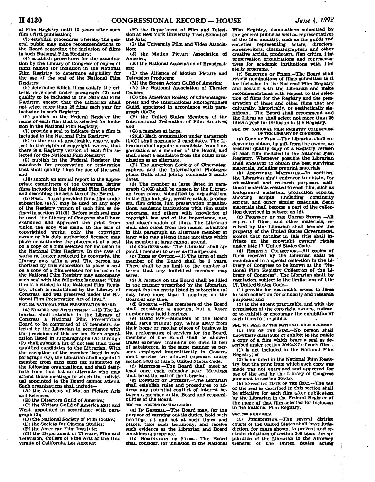**al Film Registry until 10 years after such film's first publication;** 

**(3) establish procedures whereby the general public may make recommendations to the Board regarding the inclusion of films in such National Film Registry;** 

**(4) establish procedures for the examination by the Library of Congress of copies of films named for inclusion in the National Film Registry to determine eligibility for the use of the seal of the National Film Registry;** 

**(5) determine which films satisfy the criteria developed under paragraph (2) and qualify to be Included in the National Film Registry, except that the Librarian shall not select more than 25 films each year for inclusion in such Registry;** 

**(6) publish in the Federal Register the name of each film that Is selected for inclusion in the National Film Registry;** 

**(7) provide a seal to indicate that a film is included In the National Film Registry,** 

**(8) to the extent practicable, ensure, subject to the rights of copyright owners, that there is a Registry version of each film selected for the National Film Registry;** 

**(9) publish in the Federal Register the standards for preservation or restoration that shall qualify films for use of the seal; and** 

**(10) submit an annual report to the appropriate committees of the Congress, listing films included in the National Film Registry and describing the activities of the Board.** 

**(b) SEAL.—A seal provided for a film under subsection (a)(7) may be used on any copy of the Registry version of such film as defined in section 211(6). Before such seal may be used, the Library of Congress shall have examined and approved the print from which the copy was made. In the case of copyrighted works, only the copyright owner or his duly authorized licensee may place or authorize the placement of a seal on a copy of a film selected for inclusion In the National Film Registry. In the case of works no longer protected by copyright, the Library may affix a seal. The person authorized by this subsection to place a seal on a copy of a film selected for Inclusion in the National Film Registry may accompany such seal with the following language: "This film is Included in the National Film Registry, which Is maintained by the Library of Congress, and was preserved under the National Film Preservation Act of 1991.". SEC 105. NATIONAL FILM PRESERVATION BOARD.** 

**(a) NUMBER AND APPOINTMENT.—(1) The Librarian shall establish in the Library of Congress a National Film Preservation Board to be comprised of 17 members, selected by the Librarian in accordance with the provisions of this section. Each organization listed in subparagraphs (A) through (P) shall submit a list of not less than three qualified candidates to the Librarian. With the exception of the member listed In subparagraph (Q), the Librarian shall appoint 1 member from each such list submitted by the following organizations, and shall designate from that list an alternate who may attend those meetings to which the individual appointed to the Board cannot attend. Such organizations shall include—** 

**(A) the Academy of Motion Picture Arts and Sciences;** 

**(B) the Directors Guild of America;** 

**(C) the Writers Guild of America East and West, appointed In accordance with paragraph (2);** 

**(D) the National Society of Film Critics;** 

**(E) the Society for Cinema Studies;** 

**(F) the American Film Institute;** 

**(G) the Department of Theatre, Film and Television, College of Fine Arts at the University of California, Los Angeles;** 

**(H) the Department of Film and Television at New York University Tisch School of the Arts;** 

**(1) the University Film and Video Association;** 

**(J) the Motion Picture Association of America;** 

**(K) the National Association of Broadcasters;** 

**(L) the Alliance of Motion Picture and Television Producers;** 

**(M) the Screen Actors Guild of America;** 

**(N) the National Association of Theater Owners;** 

**(O) the American Society of Onematographers and the International Photographers Guild, appointed in accordance with paragraph (2KB); >** 

**(P) the United States Members of the International Federation of Film Archives; and** 

**(Q) a member at large.** 

**(2XA) Each organization under paragraph (1KC) shall nominate 3 candidates. The Librarian shall appoint a candidate from 1 organization as a member of the Board, and shall select a candidate from the other organization as an alternate.** 

**(B) The American Society of Cinematographers and the International Photographers Guild shall jointly nominate 3 candidates.** 

**(3) The member at large listed in paragraph (IKQ) shall be chosen by the Librarian from names submitted by organizations in the film Industry, creative artiste, producers, film critics, film preservation organizations, academic institutions with film study programs, and others with knowledge of copyright law and of the importance, use, and dissemination of films. The Librarian shall also select from the names submitted In this paragraph an alternate member at large who may attend those meetings which the member at large cannot attend.** 

**(b) CHAIRPERSON.—The Librarian shall appoint 1 member to serve as Chairperson.** 

**(c) TERM OF OFFICE.—(1) The term of each member of the Board shall be 3 years. There shall be no limit to the number of terms that any Individual member may serve.** 

**(2) A vacancy on the Board shall be filled in the manner prescribed by the Librarian, except that no entity listed In subsection (a) may have more than 1 nominee on the Board at any time.** 

**(d) QUORUM.—Nine members of the Board shall constitute a quorum, but a lesser number may hold hearings.** 

**(e) BASIC PAY.—Members of the Board shall serve without pay. While away from their home or regular places of business in the performance of services for the Board, members of the Board shall be allowed travel expenses, including per diem in lieu of subsistence. In the same manner as persons employed intermittently in Government service are allowed expenses under section 5701 of title 5, United States Code.** 

**(f) MEETINGS.—The Board shall meet at least once each calendar year. Meetings shall be at the call of the Librarian.** 

**(g) CONFLICT OF INTEREST.—The Librarian shall establish rules and procedures to address any potential conflict of interest between a member of the Board and responsibilities of the Board.** 

**SEC 206. POWERS OF THE BOARD.** 

**(a) IN GENERAL.—The Board may, for the purpose of carrying out Its duties, hold such hearings, sit and act at such times and places, take such testimony, and receive such evidence as the Librarian and Board considers appropriate.** 

**(b) NOMINATION OF FILMS.—The Board shall consider, for inclusion In the National** 

**Film Registry, nominations submitted by the general public as well as representatives of the film Industry, such as the guilds and societies representing actors, directors, screenwriters, dnematographers and other creative artists, producers, film critics, film preservation organizations and representatives for academic Institutions with film study programs.** 

**(c) SELECTION OF FILMS.—The Board shall review nominations of films submitted to it for inclusion in the National Film Registry and consult with the Librarian and make recommendations with respect to the selection of films for the Registry and the preservation of these and other films that are culturally, historically, or aesthetically significant The Board shall recommend and the Librarian shall select not more than 25 films a year for inclusion in the Registry.** 

**SEC 297. NATIONAL FILM REGISTRY COLLECTION OF THE LIBRARY OF CONGRESS.** 

**(a) COPT OF FILM.—The Librarian shall endeavor to obtain, by gift from the owner, an archival quality copy of a Registry version of each film included In the National Funs Registry. Whenever possible the Librarian shall endeavor to obtain the best surviving materials, including preprint materials.** 

**(b) ADDITIONAL MATERIALS.—In addition, the Librarian shall endeavor to obtain, for educational and research purposes, additional materials related to each film, such as background materials, production reports, shooting scripts (including continuity scripts) and other similar materials.. Such materials shall become a part of the collection described in subsection (d).** 

**(c) PROPERTY OF THE UNITED STATES.—All copies of films, and other materials, received by the Librarian shall become the property of the United States Government,**  except that nothing in this title shall in**fringe on the copyright owners' rights under title 17, United States Code.** 

**(d) REGISTRY COLLECTION.—All copies of films received by the Librarian shall be maintained in a special collection In the Library of Congress to be known as the "National Film Registry Collection of the Library of Congress". The Librarian shall, by regulation, subject to the limitations of title 17, United States Code—** 

**(1) provide for reasonable access to film\* in such collection for scholarly and research purposes; and** 

**(2) to the extent practicable, and with the permission of the copyright owners, endeavor to exhibit or encourage the exhibition of**  such films to the public.

**SEC 208. SEAL OF THE NATIONAL FILM REGISTRY.** 

**(a) USE OF THE SEAL.—No person shall knowingly distribute or exhibit to the public a copy of a film which bears a seal as described under section 204(aX7) If such film—** 

**(1) is not included in the National Film Registry; or** 

**(2) Is included in the National Film Registry, but the print from which such copy was made was not examined and approved for use of the seal by the Library of Congress pursuant to section 204(b).** 

**(b) EFFECTIVE DATE OF THE SEAL.—The use of the seal as described in this section shall be effective for each film after publication by the Librarian in the Federal Register of the name of that film selected for inclusion In the National Film Registry.** 

#### **SEC 209. REMEDIES.**

**(a) JURISDICTION.—The several district courts of the United States shall have jurisdiction, for cause shown, to prevent and restrain violations of section 208 upon the application of the Librarian to the Attorney General of the United States acting**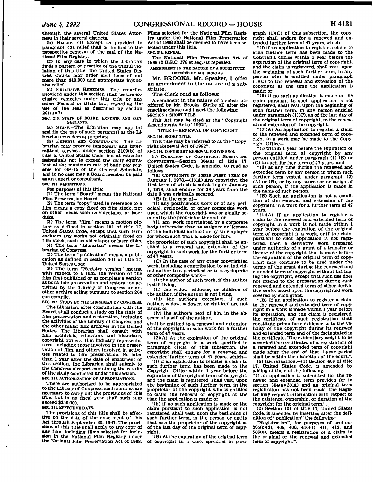**through the several United States Attorneys In their several districts.** 

**(b) RELIEF.—<1) Except as provided in paragraph (2). relief shall be limited to the prospective removal of the seal of the National Film Registry.** 

**(2) In any case In which the Librarian finds a pattern or practice of the willful violation of this title, the United States District Courts may order civil fines of not more than \$10,000 and appropriate Injunctive relief.** 

**(c) EXCLUSIVE REMEDIES.—The remedies provided under this section shall be the exclusive remedies under this title or any other Federal or State law, regarding the use of the seal as described by section 204(a)(7).** 

**SEC. 210. STAFF OF BOARD: EXPERTS AND CON-SULTANTS.** 

**(a) STAFF.—The Librarian may appoint and fix the pay of such personnel as the Librarian considers appropriate.** 

**(b) EXPERTS AND CONSULTANTS.—The Librarian may procure temporary and Intermittent services under section 3109(b) of title 5, United States Code, but at rates for individuals not to exceed the daily equivalent of the maximum rate of basic pay payable for OS-15 of the- General Schedule, and In no case may a Board member be paid as an expert or consultant.** 

**SEC 211. DEFINITIONS.** 

**For purposes of this title: (1) The term "Board" means the National Film Preservation Board.** 

**(2) The term "copy" used In reference to a film means a copy fixed on film stock, not on other media such as videotapes or laser disks.** 

**(3) The term "film" means a motion picture as defined in section 101 of title 17, United States Code, except that such term excludes any works not originally fixed on film stock, such as videotapes or laser disks.** 

**(4) The term "Librarian" means the Librarian of Congress.** 

**(5) The term "publication" means a publi-cation as defined in section 101 of title 17, United States Code.** 

**(6) The term "Registry version" means, with respect to a film, the version of the film first published or as complete a version as bona fide preservation and restoration activities by the Library of Congress or another archive acting pursuant to section 204 can compile.** 

**SEC S12. STUDY BY THE LIBRARIAN OF CONCRESS. The Librarian, after consultation with the Board, shall conduct a study on the state of film preservation and restoration, including the activities of the Library of Congress and the other major film archives in the United Btates. The Librarian shall consult with film archivists, educators and historians, copyright owners, film industry representatives. Including those Involved in the preservation of film, and others involved in activities related to film preservation. No later than 1 year after the date of enactment of this section, the Librarian shall submit to the Congress a report containing the results of the study conducted under this section. 8EC. 213. AUTHORIZATION OF APPROPRIATIONS.** 

**There are authorized to be appropriated to the Library of Congress, such sums as are necessary to carry out the provisions of this title, but In no fiscal year shall such sum exceed \$250,000.** 

## 88C. 214. EFFECTIVE DATE.

**The provisions of this title shall be effective on the date of the enactment of this Act through September 30, 1997. The provisions of this title shall apply to any copy of any film, including films selected for inclusion in the National Film Registry under the National Film Preservation Act of 1988.** 

**Films selected for the National Film Registry under the National Film Preservation Act of 1988 shall be deemed to have been selected under this title. SEC** *tU.* **REPEAL.** 

**The National Film Preservation Act of 1988 (2 U.S.C. 178 et seq.) is repealed.** 

**AMENDMENT IN THE NATURE OF A SUBSTITUTE OFFERED BY MR. BROOKS** 

**Mr. BROOKS . Mr. Speaker, I offer a n amendment in th e natur e of a substitute.** 

**T h e Clerk read as follows:** 

**Amendment in the nature of a substitute offered by Mr. Brooks: Strike all after the enacting clause and insert the following: SECTION 1. SHORT TITLE.** 

**This Act may be cited as the "Copyright Amendments Act of 1992".** 

**TITLE I—RENEWAL OF COPYRIGHT SEC 101. SHORT TITLE.** 

**This title may be referred to as the "Copyright Renewal Act of 1992".** 

**SEC 102. COPYRIGHT RENEWAL PROVISIONS.** 

**(a) DURATION OF COPYRIGHT SUBSISTING COPYRIGHTS.—Section 304(a) of title 17, United States Code, is amended to read as follows:** 

**"(a) COPYRIGHTS IN THEIR FIRST TERM ON**  JANUARY 1, 1978.—(1)(A) Any copyright, the **first term of which is subsisting on January 1, 1978, shall endure for 28 years from the date It was originally secured.** 

**"(B) In the case of—** 

**"(i) any posthumous work or of any periodical, cyclopedic, or other composite work upon which the copyright was originally secured by the proprietor thereof, or** 

**"(ii) any work copyrighted by a corporate body (otherwise than as assignee or licensee of the individual author) or by an employer for whom such work is made for hire,** 

**the proprietor of such copyright shall be entitled to a renewal and extension of the copyright in such work for the further term of 47 years.** 

**"(C) In the case of any other copyrighted work, including a contribution by an individual author to a periodical or to a cyclopedic or other composite work—** 

**"(i) the author of such work, if the author is still living,** 

**"(11) the widow, widower, or children of the author, if the author is not living,** 

**"(ill) the author's executors, if such author, widow, widower, or children are not living, or** 

**"(iv) the author's next of kin, in the absence of a will of the author,** 

**shall be entitled to a renewal and extension of the copyright In such work for a further term of 47 years.** 

**"(2)(A) At the expiration of the original term of copyright in a work specified in**  paragraph (1)(B) of this subsection, the **copyright shall endure for a renewed and extended'further term of 47 years, which—** 

**"(1) if an application to register a claim to such further term has been made to the Copyright Office within 1 year before the expiration of the original term of copyright, and the claim Is registered, shall vest, upon the beginning of such further term, in the proprietor of the copyright who is entitled to claim the renewal of copyright at the time the application Is made; or** 

**"(11) If no such application is made or the claim pursuant to such application is not registered, shall vest, upon the beginning of such further term, in the person or entity that was the proprietor of the copyright as of the last day of the original term of copyright.** 

**"(B) At the expiration of the original term of copyright in a work specified in para-** **graph (1)(C) of this subsection, the copyright shall endure for a renewed and extended further term of 47 years, which—** 

**"(i) if an application to register a claim to such further term has been made to the Copyright Office within 1 year before the expiration of the original term of copyright, and the claim is registered, shall vest, upon the beginning of such further term, in any person who is entitled under paragraph (IXC) to the renewal and extension of the copyright at the time the application is made; or** 

**"(11) if no such application is made or the claim pursuant to such application is not registered, shall vest, upon the beginning of such further term, in any person entitled**  under paragraph (1)(C), as of the last day of **the original term of copyright, to the renewal and extension of the copyright.** 

**"(3XA) An application to register a claim to the renewed and extended term of copyright In a work may be made to the Copyright Office—** 

**"(i) within 1 year before the expiration of the original term of copyright by any person entitled under paragraph (1) (B) or (C) to such further term of 47 years; and** 

**"(ii) at any time during the renewed and extended term by any person in whom such further term vested, under paragraph (2) (A) or (B), or by any successor or assign of such person, if the application is made in the name of such person.** 

**"(B) Such an application is not a condition of the renewal and extension of the copyright in a work for a further term of 47 years.** 

**"(4)(A) If an application to register a claim to the renewed and extended term of copyright in a work is not made within 1 year before the expiration of the original term of copyright in a work, or if the claim pursuant to such application is not regis-tered, then a derivative work prepared under authority of a grant of a transfer or license of the copyright that is made before the expiration of the original term of copyright may continue to be used under the terms of the grant during the renewed and extended term of copyright without infringing the copyright, except that such use does not extend to the preparation during such renewed and extended term of other derivative works based upon the copyrighted work covered by such grant.** 

**"(B) If an application to register a claim to the renewed and extended term of copyright in a work is made within 1 year before its expiration, and the claim is registered, the certificate of such registration shall constitute prima facie evidence as to the validity of the copyright during its renewed and extended term and of the facts stated in the certificate. The evidentiary weight to be accorded the certificates of a registration of a renewed and extended term of copyright made after the end of that 1-year period shall be within the discretion of the court.".** 

**(b) REGISTRATION.—(1) Section 409 of title 17, United States Code, is amended by adding at the end the following:** 

**"If an application is submitted for the renewed and extended term provided for in section 304(a)(3)(A) and an original term registration has not been made, the Regis-ter may request information with respect to the existence, ownership, or duration of the copyright for the original term.".** 

**(2) Section 101 of title 17, United States Code, is amended by inserting after the definition of "publication" the following:** 

**"Registration", for purposes of sections 205(c)(2), 405. 406, 410(d). 411, 412. and 506(e). means a registration of a claim in the original or the renewed and extended term of copyright.".**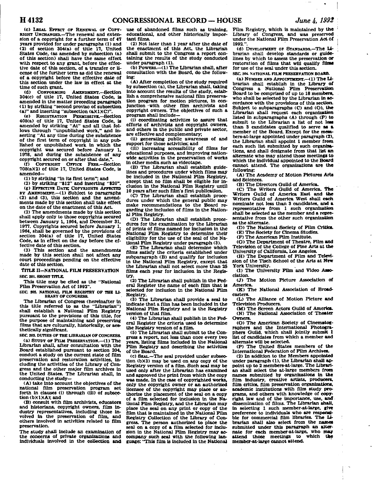**(c) LEGAL EFFECT OP RENEWAL OF COPY-RIGHT UNCHANGED.—The renewal and extension of a copyright for a further term of 47 years provided for under paragraphs (1) and (2) of section 304(a) of title 17, United States Code, (as amended by subsection (a) of this section) shall have the same effect with respect to any grant, before the effective date of this section, of a transfer or license of the further term as did the renewal of a copyright before the effective date of this section under the law in effect at the time of such grant.** 

**(d) CONFORMING AMENDMENT.—Section 304(c) of title 17. United States Code, Is amended in the matter preceding paragraph (1) by striking "second proviso of subsection**  (a)" and inserting "subsection (a)(1)(C)"

**(e) REGISTRATION PERMISSIVE.—Section 408(a) of title 17, United States Code, is amended by striking "At" and all that follows through "unpublished work," and inserting "At any time during the subsistence of the first term of copyright in any published or unpublished work In which the copyright was secured before January 1, 1978, and during the subsistence of any copyright secured on or after that date,".** 

(f) COPYRIGHT OFFICE FEES.—Section **708(a)(2)** of title 17, United States Code, is **amended—** 

**(1) by striking "in its first term"; and** 

**(2) by striking "\$12" and Inserting "\$20". (g) EFFECTIVE DATE; COPYRIGHTS AFFECTED BY AMENDMENT.—<1) Subject to paragraphs . (2) and (3), this section and the amendments made by this section shall take effect on the date of the enactment of this Act.** 

**(2) The amendments made by this section shall apply only to those copyrights secured between January 1, 1964, and December 31, 1977. Copyrights secured before January 1, 1964, shall be governed by the provisions of section 304(a) of title 17, United States Code, as in effect on the day before the effective date of this section.** 

**(3) This section and the amendments made by this section shall not affect any court proceedings pending on the effective date of this section.** 

**TITLE n—NATIONAL FILM PRESERVATION SEC 201. SHORT TITLE.** 

**This title may be cited as the "National Film Preservation Act of 1992".** 

**SEC 202. NATIONAL FILM REGISTRY OF THE LI-BRARY OF CONGRESS.** 

**The Librarian of Congress (hereinafter In this title referred to as the "Librarian") shall establish a National Film Registry pursuant to the provisions of this title, for the purpose of maintaining and preserving films that are culturally, historically, or aesthetically significant.** 

**SEC 203. DUTIES OF THE LIBRARIAN OF CONGRESS. (a) STUDY OF FILM PRESERVATION.—(1) The Librarian shall, after consultation with the Board established pursuant to section 204, conduct a study on the current state of film preservation and restoration activities, including the activities of the Library of Congress and the other major film archives In the United States. The Librarian shall, in conducting the study—** 

**(A) take into account the objectives of the national film preservation program set**  forth in clauses (i) through (iii) of subsection (b)(1)(A); and

**(B) consult with film archivists, educators and historians, copyright owners, film industry representatives. Including those involved in the preservation of film, and others involved in activities related to film preservation.** 

**The study shall Include an examination of the concerns of private organizations and individuals involved in the collection and**  **use of abandoned films such as training, educational, and other historically Important films.** 

**(2) Not later than 1 year after the date of the enactment of this Act, the Librarian shall submit to the Congress a report containing the results of the study conducted under paragraph (1).** 

**(b) POWERS.—(1) The Librarian shall, after consultation with the Board, do the following:** 

**(A) After completion of the study required by subsection (a), the Librarian shall, taking into account the results of the study, establish a comprehensive national film preservation program for motion pictures, in con-Junction -with other film archivists and copyright owners. The objectives of such a program shall include—** 

**(1) coordinating activities to assure that efforts of archivists and copyright owners, and others in the public and private sector, are effective and complementary;** 

**(11) generating public awareness of and support for those activities; and** 

**(Hi) increasing accessibility of films for educational purposes, and improving nationwide activities in the preservation of works in other media such as videotape.** 

**(B) The Librarian shall establish guidelines and procedures under which films may be included in the National Film Registry, except that no film shall be eligible for inclusion in the National Film Registry until 10 years after such film's first publication.** 

**(C) The Librarian shall establish procedures under which the general public may make recommendations to the Board regarding the inclusion of films in the National Film Registry.** 

**(D) The Librarian shall establish procedures for the examination by the Librarian of prints of films named for inclusion in the National Film Registry to determine their eligibility for the use of the seal of the National Film Registry under paragraph (3).** 

**<E) The Librarian shall determine which films satisfy the criteria established under subparagraph (B) and qualify for inclusion in the National Film Registry, except that the Librarian shall not select more than 25 films each year for inclusion in the Registry.** 

**(2) The Librarian shall publish in the Federal Register the name of each film that Is selected for Inclusion in the National Film Registry.** 

**(3) The Librarian shall provide a seal to Indicate that a film has been Included In the National Film Registry and is the Registry version of that film.** 

**(4) The Librarian shall publish in the Federal Register the criteria used to determine the Registry version of a film.** 

**(5) The Librarian shall submit to the Congress a report, not less than once every two years, listing films included in the National Film Registry and describing the activities of the Board.** 

**(c) SEAL.—The seal provided under subsection (bX3) may be used on any copy of the Registry version of a film. Such seal may be used only after the Librarian has examined and approved the print from which the copy was made. In the case of copyrighted works, only the copyright owner or an authorized licensee of the copyright may place or authorize the placement of the seal on a copy of a film selected for inclusion In the National Film Registry, and the Librarian may place the seal on any print or copy of the film that is maintained in the National Film Registry Collection of the Library of Congress. The person authorized to place the seal on a copy of a film selected for inclusion in the National Film Registry may accompany such seal with the following language: "This film is Included In the National** 

**Film Registry, which is maintained by the Library of Congress, and was preserved under the National Film Preservation Act of 1992.".** 

**(d) DEVELOPMENT OF STANDARDS.—The Librarian shall develop standards or guidelines by which to assess the preservation or restoration of films that will qualify films for use of the seal under this section.** 

**SEC 204. NATIONAL FILM PRESERVATION BOARD.** 

**(a) NUMBER AND APPOINTMENT.—(1) The Librarian shall establish in the Library of Congress a National Film Preservation**  Board to be comprised of up to 18 members, **who shall be selected by the Librarian in accordance with the provisions of this section. Subject to subparagraphs (C) and (O), the Librarian shall request each organization listed in subparagraphs (A) through (P) to submit to the Librarian a list of not lew than 3 candidates qualified to serve as a member of the Board. Except for the members-at-large appointed under paragraph (2), the Librarian shall appoint 1 member from each such list submitted by such organisations, and shall designate from that list an alternate who may attend those meetings to which the individual appointed to the Board cannot attend. The organizations are the following:** 

**(A) The Academy of Motion Pictures Arts and Sciences.** 

(B) The Directors Guild of America.

**(C) The Writers Guild of America. The Writers Guild of America East and the Writers Guild of America West shall each nominate not less than 3 candidates, and a representative from 1 such organization shall be selected as the member and a representative from the other such organization as the alternate.** 

**(D) The National Society of Film Critics. (E) The Society for Cinema Studies.** 

**(F) The American Film Institute.** 

**(G) The Department of Theatre, Film and** 

**Television of the College of Fine Arts at the University of California, Los Angeles.** 

**(H) The Department of Film and Television of the Tisch School of the Arts at New York University.** 

**(1) The University Film and Video Association.** 

**(J) The Motion Picture Association of America.** 

**(K) The National Association of Broadcasters.** 

**(L) The Alliance of Motion Picture and Television Producers.** 

**(M) The Screen Actors Guild of America. (N) The National Association of Theater Owners.** 

**(O) The American Society of Cinematographers and the International Photographers Guild, which shall Jointly submit 1 list of candidates from which a member and alternate will be selected.** 

**(P) The United States members of the International Federation of Film Archives.** 

**(2) In addition to the Members appointed under paragraph (1), the Librarian shall appoint up to 2 members-at-large. The Librarian shall select the at-large members from names submitted by organizations in the film industry, creative artists, producers, film critics, film preservation organizations, academic institutions with film study programs, and others with knowledge of copyright law and of the importance, use, and dissemination of films. The Librarian shall, in selecting 1 such member-at-large, give preference to individuals who are responsible for commercial film libraries. The li**brarian shall also select from the names **submitted under this paragraph an alternate for each member-at-large, who may**  attend those meetings to **member-at-large cannot attend.**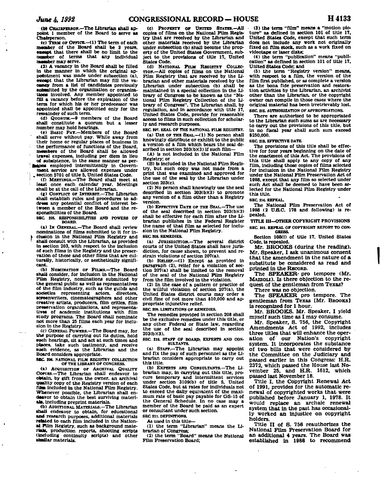**(W CHAIRPERSON.—The Librarian shall appoint 1 member of the Board to serve as Chairperson.** 

**<c) TEBM OF OFFICE.—<1) The term of each member of the Board shall be 3 years, except** that there shall be no limit to the **number of terms that any individual number may serve.** 

**(2) A vacancy In the Board shall be filled in the manner in which the original appointment was made under subsection (a), except that the Librarian may fill the vacancy from a list of candidates previously submitted by the organization or organizations involved. Any member appointed to fill a vacancy before the expiration of the term for which his or her predecessor was appointed shall be appointed only for the remainder of such term.** 

**(d) QUORUM.—9 members of the Board shall constitute a quorum but a lesser number may hold hearings.** 

**(e) BASIC PAT.—Members of the Board shall serve without pay. While away from their home or regular places of business in the performance of functions of the Board, members of the Board shall be allowed travel expenses, including per diem in lieu of subsistence, in the same manner as per-**

**aons** employed intermittently in Govern**ment service are allowed expenses under** 

**i . section 5701 of title 5, United States Code. ! (f) MEETINGS.—The Board shall meet at least once each calendar year. Meetings shall be at the call of the Librarian.** 

**(g) CONFLICT OF INTEREST.—The Librarian shall establish rules and procedures to address any potential conflict of interest between a member of the Board and the responsibilities of the Board.** 

**SBC 205. RESPONSIBILITIES AND POWERS OP BOARD.** 

**(a) IN GENERAL.—The Board shall review nominations of films submitted to It for in-***V* **elusion in the National Film Registry and ' shall consult with the Librarian, as provided in section 203, with respect to the inclusion of such films In the Registry and the preservation of these and other films that are culturally, historically, or aesthetically significant.** 

**(b) NOMINATION OF FILMS.—The Board shall consider, for inclusion in the National Film Registry, nominations submitted by the general public as well as representatives of the film industry, such as the guilds and societies representing actors, directors, screenwriters, cinematographera and other creative artists, producers, film critics, film preservation organizations, and representatives of academic Institutions with film study programs. The Board shall nominate not more than 25 films each year for inclusion In the Registry.** 

**(c) GENERAL POWERS.—The Board may, for the purpose of carrying out its duties, hold such hearings, sit and act at such times and places, take such testimony, and receive such evidence, as the Librarian and the Board considers appropriate.** 

**SEC. 206. NATIONAL FILM REGISTRY COLLECTION OF THE LIBRARY OF CONGRESS.** 

**(a) ACQUISITION OF ARCHIVAL QUALITY** Corius.-The Librarian shall endeavor to **obtain, by gift from the owner, an archival quality copy of the Registry version of each film included in the National Film Registry. Whenever possible, the Librarian shall endeavor to obtain the best surviving materials, including preprint materials.** 

**<b) ADDITIONAL MATERIALS.—The Librarian •ball endeavor to obtain, for educational and research purposes, additional materials related to each film included in the National Film Registry, such as background materials, production reports, shooting scripts (including continuity scripts) and other similar materials.** 

 $\sim$ 

**(c) PROPERTY or UNITED STATES—All copies of films on the National Film Registry that are received by the Librarian and other materials received by the Librarian under subsection (b) shall become the property of the United States Government, subject to the provisions of title 17, United States Code.** 

**(d) NATIONAL FILM REGISTRY COLLEC-TION.—All copies of films on the National Film Registry that are received by the Librarian and other materials received by the Librarian under subsection (b) shall be maintained in a special collection in the Library of Congress to be known as the "National Film Registry Collection of the Library of Congress". The Librarian shall, by regulation, and in accordance with title 17, United States Code, provide for reasonable access to films in such collection for scholarly and research purposes.** 

**SEC 207. SEAL OF THE NATIONAL FILM REGISTRY. (a) USE OP THE SEAL.—<1) NO person shall knowingly distribute or exhibit to the public a version of a film which bears the seal described In section 203(b)(3) If such film—** 

**(A) is not Included in the National Film Registry; or** 

**(B) is included in the National Film Registry, but such copy was not made from a print that was examined and approved for the use of the seal by the Librarian under section 203(c).** 

**(2) No person shall knowingly use the seal described in section 203(b)(3) to promote any version of a film other than a Registry version.** 

**(b) EFFECTIVE DATE OF THE SEAL.—The use of the seal described in section 203(b)(3) shall be effective for each film after the Librarian publishes in the Federal Register the name of that film as selected for inclusion in the National Film Registry.** 

**SEC 208. REMEDIES.** 

**(a) JURISDICTION.—The several district courts of the United States shall have Jurisdiction, for cause shown, to prevent and restrain violations of section 207(a).** 

**(b) RELIEF.—(1) Except as provided in paragraph (2), relief for a violation of section 207(a) shall be limited to the removal of the seal of the National Film Registry from the film involved in the violation.** 

**(2) In the case of a pattern or practice of the willful violation of section 207(a), the United States district courts may order a civil.fine of not more than \$10,000 and appropriate injunctive relief.** 

**SEC 209. LIMITATIONS OF REMEDIES.** 

**The remedies provided in section 208 shall be the exclusive remedies under this title, or any other Federal or State law. regarding the use of the seal described in section 203(b)(3).** 

**SEC 210. STAFF OF BOARD; EXPERTS AND CON-SULTANTS.** 

**(a) STAFF.—The Librarian may appoint and fix the pay of such personnel as the Librarian considers appropriate to carry out this title.** 

**(b) EXPERTS AND CONSULTANTS.—The Librarian may, in carrying out this title, procure temporary and intermittent services under section 3109(b) of title 5, United States Code, but at rates for individuals not to exceed the daily equivalent of the maximum rate of basic pay payable for GS-15 of the General Schedule. In no case may a member of the Board be paid as an expert or consultant under such section.** 

**SEC 211. DEFINITIONS.** 

**As used in this title—** 

**(1) the term "Librarian" means the Librarian of Congress;** 

**(2) the term "Board" means the National Film Preservation Board;** 

**(3) the term "film" means a "motion picture" as defined in section 101 of title 17. United States Code, except that such term does not include any work not originally fixed on film stock, such as a work fixed on videotape or laser disks;** 

**(4) the term "publication" means "publication" as defined in section 101 of title 17, United States Code; and** 

**(5) the term "Registry version" means, with respect to a film, the version of the film first published, or as complete a version as the bona fide preservation and restoration activities by the Librarian, an archivist other than the Librarian, or the copyright owner can compile in those cases where the original material has been irretrievably lost. SEC 212. AUTHORIZATION OF APPROPRIATIONS.** 

**There are authorized to be appropriated to the Librarian such sums as are necessary to carry out the provisions of this title, but in no fiscal year shall such sum exceed \$250,000.** 

**SEC. 212. EFFECTIVE DATE.** 

**The provisions of this title shall be effective for four years beginning on the date of the enactment of this Act. The provisions of this title shall apply to any copy of any film, including those copies of films selected for Inclusion In the National Film Registry under the National Film Preservation Act of 1988, except that any film so selected under such Act shall be deemed to have been selected for the National Film Registry under this title.** 

**SEC 214. REPEAL.** 

**The National Film Preservation Act of 1988 (2 UJ3.C. 178 and following) is repealed.** 

**TITLE III—OTHER COPYRIGHT PROVISIONS SEC 101. REPEAL OF COPYRIGHT REPORT TO CON-**

**GRESS. Section 108(i) of title 17, United States Code, is repealed.** 

**Mr. BROOKS (during the reading). Mr. Speaker, I ask unanimous consent that the amendment in the nature of a substitute be considered as read and printed in the RECORD.** 

**The SPEAKER- pro tempore (Mr. MAZZOLI). IS there objection to the request of the gentleman from Texas?** 

**There was no objection.** 

**The SPEAKER pro tempore. The gentleman from Texas [Mr. BROOKS] is recognized for 1 hour.** 

**Mr. BROOKS. Mr. Speaker, I yield myself such time as I may consume.** 

**Mr. Speaker, S. 756, the Copyright Amendments Act of 1992, includes three titles that will enhance the operation of our Nation's copyright system. It incorporates the substance of two bills that were considered by the Committee on the Judiciary and passed earlier in this Congress: H.R. 2372, which passed the House last November 25, and H.R. 1612, which passed last November 18.** 

**Title I, the Copyright Renewal Act of 1991, provides for the automatic renewal of copyrighted works that were published before January 1, 1978. It would replace an archaic renewal system that in the past has occasionally worked an injustice on copyright holders.** 

Title II of S. 756 reauthorizes the **National Film Preservation Board for an additional 4 years. The Board was established in 1988 to recommend**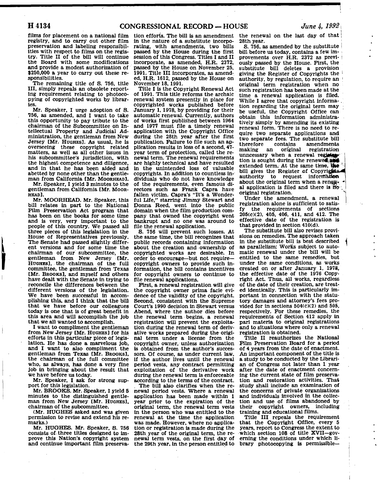films for placement on a national film registry, and to carry out other film preservation and labeling responsibilities with respect to films on the registry. Title II of the bill will continue the Board with some modifications and provide a modest authorization of \$250,000 a year to carry out these responsibilities.

The remaining title of S. 756, title III, simply repeals an obsolete reporting requirement relating to photocopying of copyrighted works by libraries.

Mr. Speaker, I urge adoption of S. 756, as amended, and I want to take this opportunity to pay tribute to the chairman of the Subcommittee on Intellectual Property and Judicial Administration, the gentleman from New Jersey [Mr. HUGHES]. As usual, he is overseeing these copyright related matters, as well as all other issues in his subcommittee's jurisdiction, with the highest competence and diligence, and in that he has been aided and abetted by none other than the gentleman from California [Mr. MOORHEAD].

Mr. Speaker, I yield 3 minutes to the gentleman from California [Mr. MOOR-HEAD].

Mr. MOORHEAD. Mr. Speaker, this bill relates in part to the National Film Preservation Act program that has been on the books for some time and is very, very important to the people of this country. We passed all three pieces of this legislation in the House of Representatives previously. The Senate had passed slightly different versions and for some time the chairman of our subcommittee, the gentleman from New Jersey [Mr. HUGHES], the chairman of the full committee, the gentleman from Texas [Mr. BROOKS], and myself and others have dealt with the Senate in trying to reconcile the differences between the different versions of the legislation. We have been successful in accomplishing this, and I think that the bill that we have before our colleagues today is one that is of great benefit in this area and will accomplish the job that we all wanted to accomplish.

I want to compliment the gentleman from New Jersey [Mr. HUGHES] for his efforts in this particular piece of legislation. He has done a marvelous job, and I want to also compliment the gentleman from Texas [Mr. BROOKS], the chairman of the full committee who, as always, has done a very fine job in bringing about the result that we have before us today.

Mr. Speaker, I ask for strong support for this legislation.

Mr. BROOKS. Mr. Speaker, I yield 5 minutes to the distinguished gentleman from New Jersey [Mr. HUGHES], chairman of the subcommittee.

(Mr. HUGHES asked and was given permission to revise and extend his remarks.)

Mr. HUGHES. Mr. Speaker, S. 756 consists of three titles designed to improve this Nation's copyright system and continue important film preserva-

tion efforts. The bill is an amendment in the nature of a substitute incorporating, with amendments, two bills passed by the House during the first session of this Congress. Titles I and II incorporate, as amended, H.R. 2372, passed by the House on November 25, 1991. Title III incorporates, as amended, H.R. 1612, passed by the House on November 18,1991.

Title I is the Copyright Renewal Act of 1991. This title reforms the archaic renewal system presently in place for copyrighted works published before January 1,1978, by providing for their automatic renewal. Currently, authors of works first published between 1964 and 1977 must file a timely renewal application with the Copyright Office during the 28th year after the first publication; Failure to file such an application results in loss of a second, 47 year term of protection, called the renewal term. The renewal requirements are highly technical and have resulted in the unintended loss of valuable copyrights. In addition to countless individuals who do not have knowledge of the requirements, even famous directors such as Frank Capra have fallen victim. Capra's "It's a Wonderful Life," starring Jimmy Stewart and Donna Reed, went into the public domain when the film production company that owned the copyright went bankrupt and no one was around to file the renewal application.

S. 756 will prevent such losses. At the same time, the bill recognizes that public records containing information about the creation and ownership of copyrighted works are desirable. In order to encourage—but not require copyright owners to provide such information, the bill contains incentives for copyright owners to continue to file renewal applications.

First, a renewal registration will give the copyright owner prima facie evidence of the validity of the copyright. Second, consistent with the Supreme Court's 1990 decision in Stewart versus Abend, where the author dies before the renewal term begins, a renewal registration will prevent the exploitation during the renewal term of derivative works prepared during the original term under a license from the copyright owner, unless authorization is obtained from the author's successors. Of course, as under current law, if the author lives until the renewal period vests, any contract permitting exploitation of the derivative work during the renewal term is enforceable according to the terms of the contract.

The bill also clarifies when the renewal period vests. Where a renewal application has been made within 1 year prior to the expiration of the original term, the renewal term vests in the person who was entitled to the renewal at the time the application was made. However, where no application or registration is made during the 28th year of the original term, the renewal term vests, on the first day of the 29th year, in the person entitled to

the renewal on the last day of that 28th year.

S. 756, as amended by the substitute bill before us today, contains a few improvements over H.R. 2372 as previously passed by the House. First, the substitute bill deletes a provision giving the Register of Copyrights the authority, by regulation, to require an original term registration when no such registration has been made at the time a renewal application is filed. While I agree that copyright informa-. tion regarding the original term may be useful, the Copyright Office can obtain this information administratively simply by amending its existing renewal form. There is no need to require two separate applications and two separate fees. The substitute bill therefore contains amendments<br>making an original registration making an original unncessary when a renewal registate tion is sought during the renewed  $\frac{1}{2}$ extended term. At the same time, the bill gives the Register of Copyrights. authority to request information about the original term when a renewal application is filed and there is  $\overline{0}$ . original registration.

Under the amendment, a renewal registration alone is sufficient to satisfy the requirements of sections 205(c)(2), 405, 406, 411, and 412. The effective date of the registration is that provided in section 410(d).

The substitute bill also revises provisions on remedies. The approach taken in the substitute bill is best described as parallelism: Works subject to automatic renewal under the bill will be entitled to the same remedies, but under the same conditions, as works created on or after January 1, 1978, the effective date of the 1976 Copyright Act. Thus, all works, regardless of the date of their creation, are treated identically. This is particularly important in connection with the statutory damages and attorney's fees provided for in sections 504(c)(2) and 505, respectively. For these remedies, the requirements of Section 412 apply in pari materia to original registrations and to situations where only a renewal registration is obtained.

Title II reauthorizes the National Film Preservation Board for a period of 4 years from the date of enactment. An important component of the title is a study to be conducted by the Librarian of Congress not later than 1 year after the date of enactment concerning the current state of film preservation and restoration activities. That study shall include an examination of the concerns of private organizations and individuals involved in the collection and use of films abandoned by their copyright owners, including training and educational films.

Title III repeals the requirement that the Copyright Office, every 5 years, report to Congress the extent to which section 108 of title XVII—governing the conditions under which library photocopying is permissible